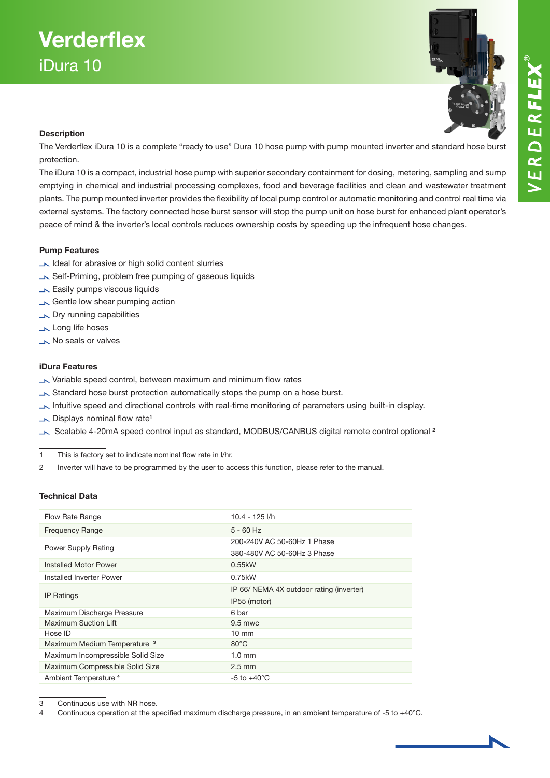

# **Description**

The Verderflex iDura 10 is a complete "ready to use" Dura 10 hose pump with pump mounted inverter and standard hose burst protection.

The iDura 10 is a compact, industrial hose pump with superior secondary containment for dosing, metering, sampling and sump emptying in chemical and industrial processing complexes, food and beverage facilities and clean and wastewater treatment plants. The pump mounted inverter provides the flexibility of local pump control or automatic monitoring and control real time via external systems. The factory connected hose burst sensor will stop the pump unit on hose burst for enhanced plant operator's peace of mind & the inverter's local controls reduces ownership costs by speeding up the infrequent hose changes.

### Pump Features

- Ideal for abrasive or high solid content slurries
- Self-Priming, problem free pumping of gaseous liquids
- **Easily pumps viscous liquids**
- Gentle low shear pumping action
- **No Dry running capabilities**
- Long life hoses
- No seals or valves

### iDura Features

- Variable speed control, between maximum and minimum flow rates
- Standard hose burst protection automatically stops the pump on a hose burst.
- Intuitive speed and directional controls with real-time monitoring of parameters using built-in display.
- $\overline{\phantom{a}}$  Displays nominal flow rate<sup>1</sup>
- Scalable 4-20mA speed control input as standard, MODBUS/CANBUS digital remote control optional <sup>2</sup>

1 This is factory set to indicate nominal flow rate in l/hr.

2 Inverter will have to be programmed by the user to access this function, please refer to the manual.

### Technical Data

| Flow Rate Range                         | 10.4 - 125 l/h                           |
|-----------------------------------------|------------------------------------------|
| <b>Frequency Range</b>                  | $5 - 60$ Hz                              |
| Power Supply Rating                     | 200-240V AC 50-60Hz 1 Phase              |
|                                         | 380-480V AC 50-60Hz 3 Phase              |
| Installed Motor Power                   | 0.55kW                                   |
| Installed Inverter Power                | 0.75kW                                   |
| <b>IP Ratings</b>                       | IP 66/ NEMA 4X outdoor rating (inverter) |
|                                         | IP55 (motor)                             |
| Maximum Discharge Pressure              | 6 bar                                    |
| Maximum Suction Lift                    | $9.5$ mwc                                |
| Hose ID                                 | $10 \text{ mm}$                          |
| Maximum Medium Temperature <sup>3</sup> | $80^{\circ}$ C                           |
| Maximum Incompressible Solid Size       | $1.0 \text{ mm}$                         |
| Maximum Compressible Solid Size         | $2.5$ mm                                 |
| Ambient Temperature <sup>4</sup>        | $-5$ to $+40^{\circ}$ C                  |

3 Continuous use with NR hose.

4 Continuous operation at the specified maximum discharge pressure, in an ambient temperature of -5 to +40°C.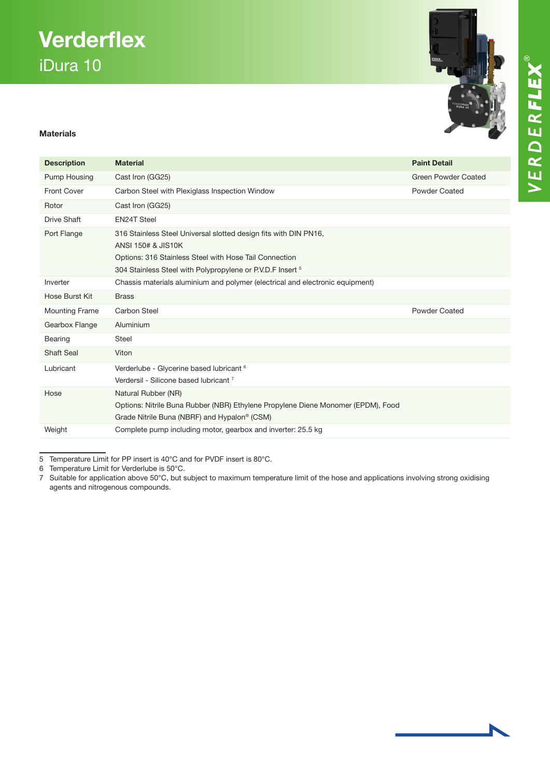# **Verderflex** iDura 10

# Materials

| <b>Description</b>    | <b>Material</b>                                                                                                                                                                                                | <b>Paint Detail</b>        |
|-----------------------|----------------------------------------------------------------------------------------------------------------------------------------------------------------------------------------------------------------|----------------------------|
| Pump Housing          | Cast Iron (GG25)                                                                                                                                                                                               | <b>Green Powder Coated</b> |
| <b>Front Cover</b>    | Carbon Steel with Plexiglass Inspection Window                                                                                                                                                                 | <b>Powder Coated</b>       |
| Rotor                 | Cast Iron (GG25)                                                                                                                                                                                               |                            |
| <b>Drive Shaft</b>    | <b>EN24T Steel</b>                                                                                                                                                                                             |                            |
| Port Flange           | 316 Stainless Steel Universal slotted design fits with DIN PN16,<br>ANSI 150# & JIS10K<br>Options: 316 Stainless Steel with Hose Tail Connection<br>304 Stainless Steel with Polypropylene or P.V.D.F Insert 5 |                            |
| Inverter              | Chassis materials aluminium and polymer (electrical and electronic equipment)                                                                                                                                  |                            |
| Hose Burst Kit        | <b>Brass</b>                                                                                                                                                                                                   |                            |
| <b>Mounting Frame</b> | Carbon Steel                                                                                                                                                                                                   | <b>Powder Coated</b>       |
| Gearbox Flange        | Aluminium                                                                                                                                                                                                      |                            |
| Bearing               | <b>Steel</b>                                                                                                                                                                                                   |                            |
| <b>Shaft Seal</b>     | Viton                                                                                                                                                                                                          |                            |
| Lubricant             | Verderlube - Glycerine based lubricant <sup>6</sup><br>Verdersil - Silicone based lubricant 7                                                                                                                  |                            |
| Hose                  | Natural Rubber (NR)<br>Options: Nitrile Buna Rubber (NBR) Ethylene Propylene Diene Monomer (EPDM), Food<br>Grade Nitrile Buna (NBRF) and Hypalon <sup>®</sup> (CSM)                                            |                            |
| Weight                | Complete pump including motor, gearbox and inverter: 25.5 kg                                                                                                                                                   |                            |

5 Temperature Limit for PP insert is 40°C and for PVDF insert is 80°C.

6 Temperature Limit for Verderlube is 50°C.

7 Suitable for application above 50°C, but subject to maximum temperature limit of the hose and applications involving strong oxidising agents and nitrogenous compounds.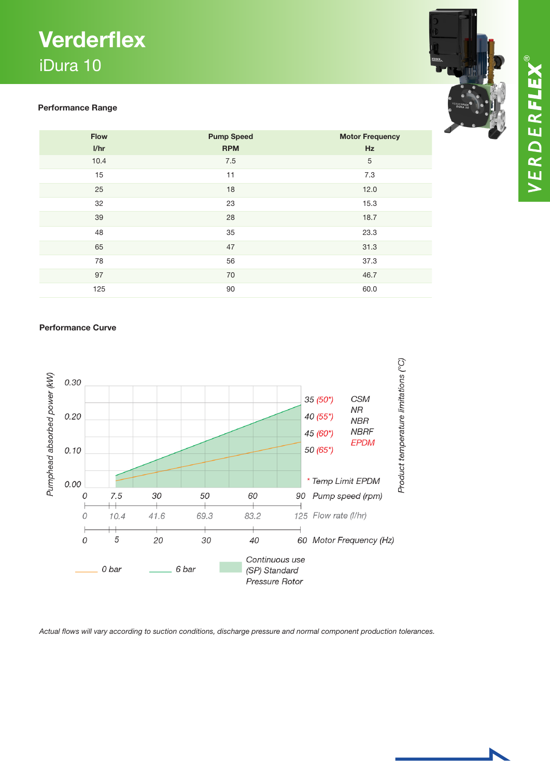# **Verderflex** iDura 10

# Performance Range

| <b>Flow</b><br>I/hr | <b>Pump Speed</b><br><b>RPM</b> | <b>Motor Frequency</b><br>Hz |
|---------------------|---------------------------------|------------------------------|
| 10.4                | 7.5                             | $\sqrt{5}$                   |
| 15                  | 11                              | 7.3                          |
| 25                  | 18                              | 12.0                         |
| 32                  | 23                              | 15.3                         |
| 39                  | 28                              | 18.7                         |
| 48                  | 35                              | 23.3                         |
| 65                  | 47                              | 31.3                         |
| 78                  | 56                              | 37.3                         |
| 97                  | 70                              | 46.7                         |
| 125                 | 90                              | 60.0                         |

# Performance Curve



*Actual flows will vary according to suction conditions, discharge pressure and normal component production tolerances.*